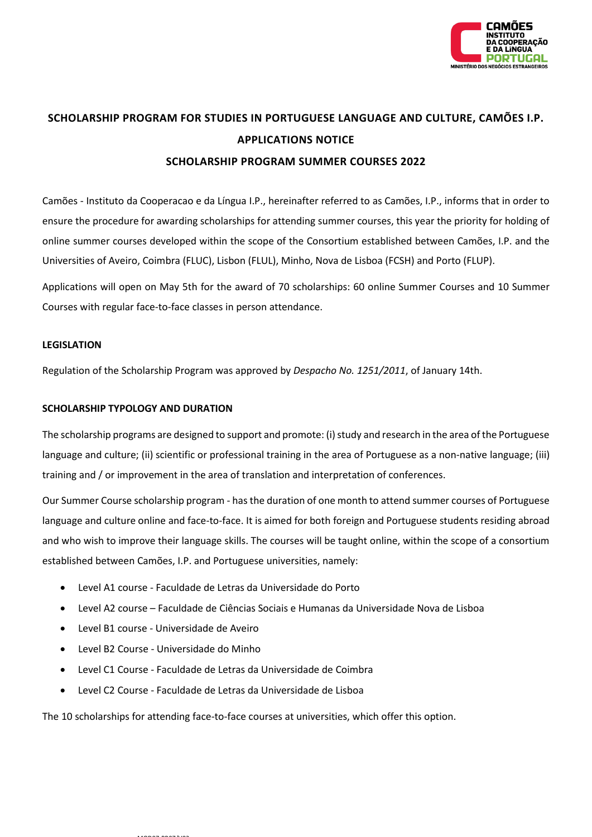

# **SCHOLARSHIP PROGRAM FOR STUDIES IN PORTUGUESE LANGUAGE AND CULTURE, CAMÕES I.P. APPLICATIONS NOTICE**

## **SCHOLARSHIP PROGRAM SUMMER COURSES 2022**

Camões - Instituto da Cooperacao e da Língua I.P., hereinafter referred to as Camões, I.P., informs that in order to ensure the procedure for awarding scholarships for attending summer courses, this year the priority for holding of online summer courses developed within the scope of the Consortium established between Camões, I.P. and the Universities of Aveiro, Coimbra (FLUC), Lisbon (FLUL), Minho, Nova de Lisboa (FCSH) and Porto (FLUP).

Applications will open on May 5th for the award of 70 scholarships: 60 online Summer Courses and 10 Summer Courses with regular face-to-face classes in person attendance.

#### **LEGISLATION**

Regulation of the Scholarship Program was approved by *Despacho No. 1251/2011*, of January 14th.

### **SCHOLARSHIP TYPOLOGY AND DURATION**

The scholarship programs are designed to support and promote: (i) study and research in the area of the Portuguese language and culture; (ii) scientific or professional training in the area of Portuguese as a non-native language; (iii) training and / or improvement in the area of translation and interpretation of conferences.

Our Summer Course scholarship program - has the duration of one month to attend summer courses of Portuguese language and culture online and face-to-face. It is aimed for both foreign and Portuguese students residing abroad and who wish to improve their language skills. The courses will be taught online, within the scope of a consortium established between Camões, I.P. and Portuguese universities, namely:

- Level A1 course Faculdade de Letras da Universidade do Porto
- Level A2 course Faculdade de Ciências Sociais e Humanas da Universidade Nova de Lisboa
- Level B1 course Universidade de Aveiro
- Level B2 Course Universidade do Minho

 $\ldots$   $\ldots$   $\ldots$   $\ldots$ 

- Level C1 Course Faculdade de Letras da Universidade de Coimbra
- Level C2 Course Faculdade de Letras da Universidade de Lisboa

The 10 scholarships for attending face-to-face courses at universities, which offer this option.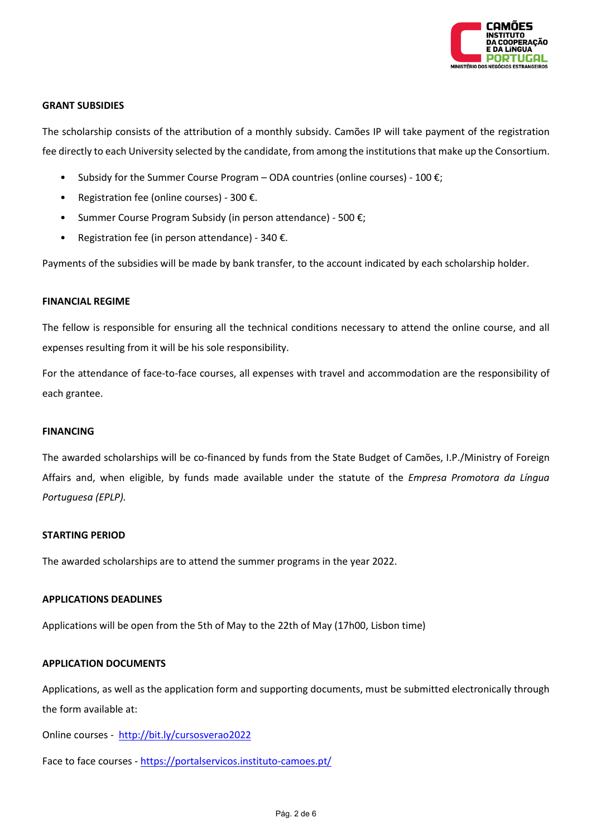

### **GRANT SUBSIDIES**

The scholarship consists of the attribution of a monthly subsidy. Camões IP will take payment of the registration fee directly to each University selected by the candidate, from among the institutions that make up the Consortium.

- Subsidy for the Summer Course Program ODA countries (online courses)  $100 \epsilon$ ;
- Registration fee (online courses) 300 €.
- Summer Course Program Subsidy (in person attendance) 500  $\varepsilon$ ;
- Registration fee (in person attendance) 340  $\epsilon$ .

Payments of the subsidies will be made by bank transfer, to the account indicated by each scholarship holder.

#### **FINANCIAL REGIME**

The fellow is responsible for ensuring all the technical conditions necessary to attend the online course, and all expenses resulting from it will be his sole responsibility.

For the attendance of face-to-face courses, all expenses with travel and accommodation are the responsibility of each grantee.

#### **FINANCING**

The awarded scholarships will be co-financed by funds from the State Budget of Camões, I.P./Ministry of Foreign Affairs and, when eligible, by funds made available under the statute of the *Empresa Promotora da Língua Portuguesa (EPLP).*

### **STARTING PERIOD**

The awarded scholarships are to attend the summer programs in the year 2022.

### **APPLICATIONS DEADLINES**

Applications will be open from the 5th of May to the 22th of May (17h00, Lisbon time)

### **APPLICATION DOCUMENTS**

Applications, as well as the application form and supporting documents, must be submitted electronically through the form available at:

Online courses - <http://bit.ly/cursosverao2022>

Face to face courses - <https://portalservicos.instituto-camoes.pt/>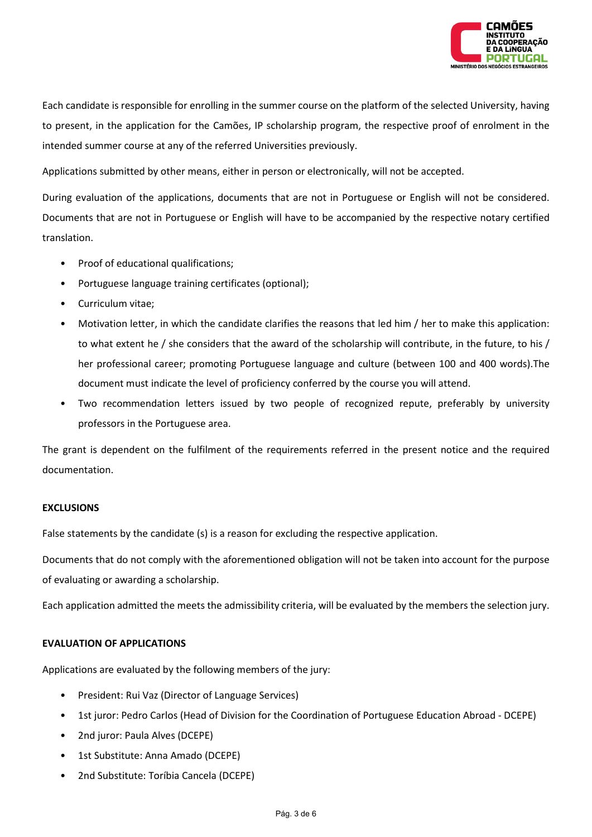

Each candidate is responsible for enrolling in the summer course on the platform of the selected University, having to present, in the application for the Camões, IP scholarship program, the respective proof of enrolment in the intended summer course at any of the referred Universities previously.

Applications submitted by other means, either in person or electronically, will not be accepted.

During evaluation of the applications, documents that are not in Portuguese or English will not be considered. Documents that are not in Portuguese or English will have to be accompanied by the respective notary certified translation.

- Proof of educational qualifications;
- Portuguese language training certificates (optional);
- Curriculum vitae;
- Motivation letter, in which the candidate clarifies the reasons that led him / her to make this application: to what extent he / she considers that the award of the scholarship will contribute, in the future, to his / her professional career; promoting Portuguese language and culture (between 100 and 400 words).The document must indicate the level of proficiency conferred by the course you will attend.
- Two recommendation letters issued by two people of recognized repute, preferably by university professors in the Portuguese area.

The grant is dependent on the fulfilment of the requirements referred in the present notice and the required documentation.

#### **EXCLUSIONS**

False statements by the candidate (s) is a reason for excluding the respective application.

Documents that do not comply with the aforementioned obligation will not be taken into account for the purpose of evaluating or awarding a scholarship.

Each application admitted the meets the admissibility criteria, will be evaluated by the members the selection jury.

### **EVALUATION OF APPLICATIONS**

Applications are evaluated by the following members of the jury:

- President: Rui Vaz (Director of Language Services)
- 1st juror: Pedro Carlos (Head of Division for the Coordination of Portuguese Education Abroad DCEPE)
- 2nd juror: Paula Alves (DCEPE)
- 1st Substitute: Anna Amado (DCEPE)
- 2nd Substitute: Toríbia Cancela (DCEPE)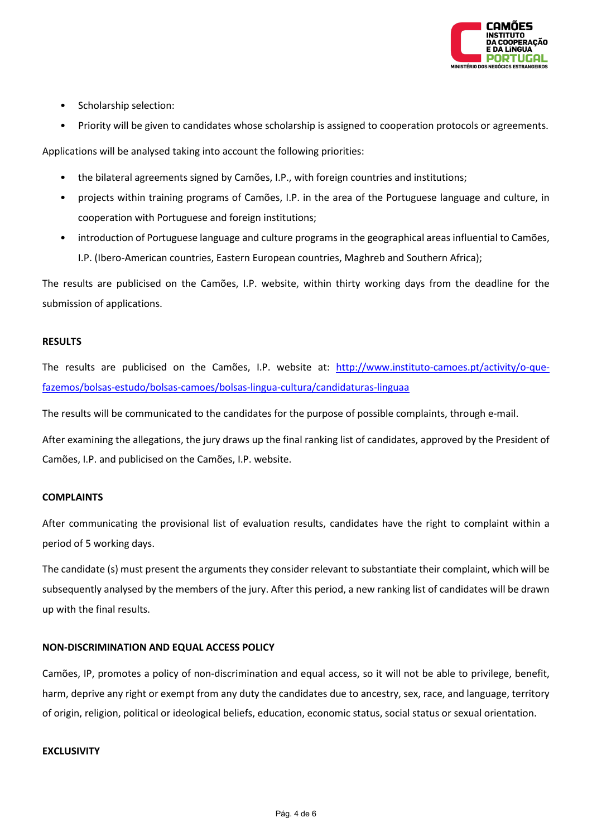

- Scholarship selection:
- Priority will be given to candidates whose scholarship is assigned to cooperation protocols or agreements.

Applications will be analysed taking into account the following priorities:

- the bilateral agreements signed by Camões, I.P., with foreign countries and institutions;
- projects within training programs of Camões, I.P. in the area of the Portuguese language and culture, in cooperation with Portuguese and foreign institutions;
- introduction of Portuguese language and culture programs in the geographical areas influential to Camões, I.P. (Ibero-American countries, Eastern European countries, Maghreb and Southern Africa);

The results are publicised on the Camões, I.P. website, within thirty working days from the deadline for the submission of applications.

# **RESULTS**

The results are publicised on the Camões, I.P. website at: [http://www.instituto-camoes.pt/activity/o-que](http://www.instituto-camoes.pt/activity/o-que-fazemos/bolsas-estudo/bolsas-camoes/bolsas-lingua-cultura/candidaturas-linguaa)[fazemos/bolsas-estudo/bolsas-camoes/bolsas-lingua-cultura/candidaturas-linguaa](http://www.instituto-camoes.pt/activity/o-que-fazemos/bolsas-estudo/bolsas-camoes/bolsas-lingua-cultura/candidaturas-linguaa)

The results will be communicated to the candidates for the purpose of possible complaints, through e-mail.

After examining the allegations, the jury draws up the final ranking list of candidates, approved by the President of Camões, I.P. and publicised on the Camões, I.P. website.

### **COMPLAINTS**

After communicating the provisional list of evaluation results, candidates have the right to complaint within a period of 5 working days.

The candidate (s) must present the arguments they consider relevant to substantiate their complaint, which will be subsequently analysed by the members of the jury. After this period, a new ranking list of candidates will be drawn up with the final results.

### **NON-DISCRIMINATION AND EQUAL ACCESS POLICY**

Camões, IP, promotes a policy of non-discrimination and equal access, so it will not be able to privilege, benefit, harm, deprive any right or exempt from any duty the candidates due to ancestry, sex, race, and language, territory of origin, religion, political or ideological beliefs, education, economic status, social status or sexual orientation.

### **EXCLUSIVITY**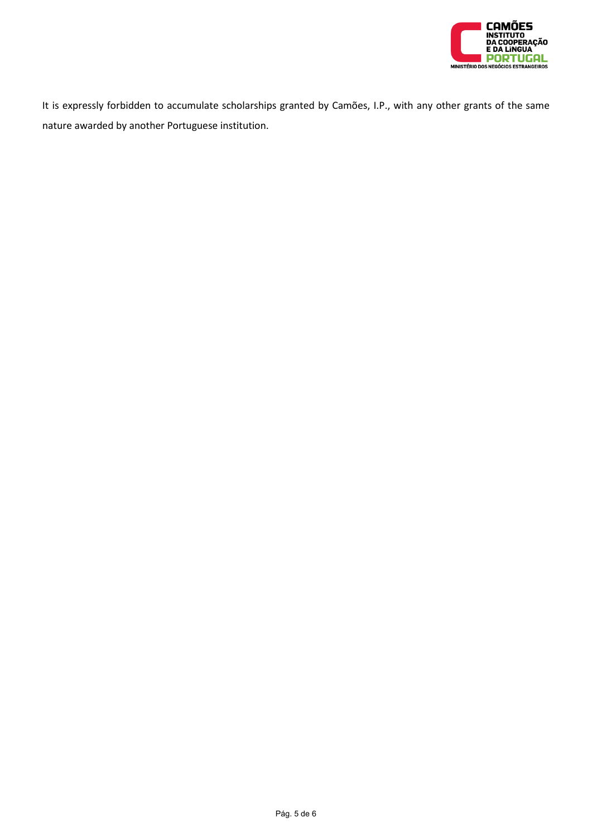

It is expressly forbidden to accumulate scholarships granted by Camões, I.P., with any other grants of the same nature awarded by another Portuguese institution.